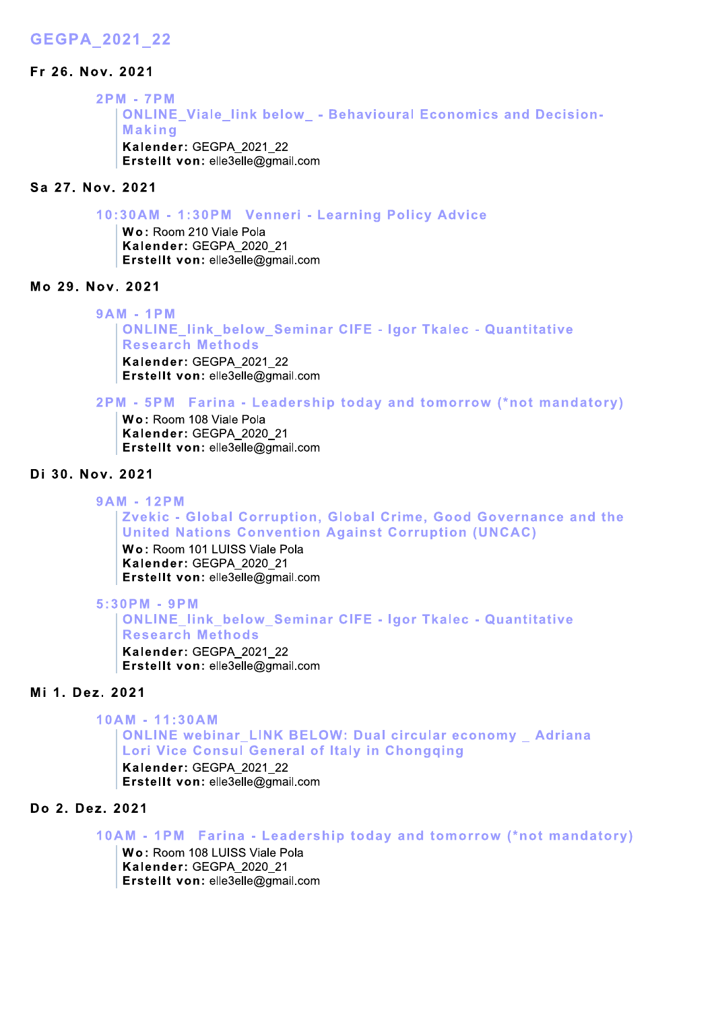# GEGPA 2021 22

## Fr 26. Nov. 2021

2PM - 7PM ONLINE Viale link below - Behavioural Economics and D EGPA\_2021\_22<br>
2PM - 7PM<br>
2PM - 7PM<br>
Making<br>
Kalender: GEGPA\_2021\_22<br>
Erstellt von: elle3elle@gmail.com<br>
ia 27. Nov. 2021<br>
10:30AM - 1:30PM Venneri - Learning Policy Advice<br>
Wo: Room 210 Viale Pola<br>
Kalender: GEGPA\_2021\_21<br> Kalender: GEGPA 2021 22  $\mathsf{Erstellung}$  von: elle3elle@amail.com nk below\_ - Behavioural Economics<br>2021\_22<br>|le@gmail.com<br>|<br>Venneri - Learning Policy Advice<br>|<br>Pola<br>|2020\_21<br>|le@gmail.com<br>|<br>|ow\_Seminar CIFE - Igor Tkalec - Qu<br>|ds

# Sa 27, Nov. 2021

10:30AM - 1:30PM Venneri - Learning Policy Advice

Wo: Room 210 Viale Pola Kalender: GEGPA 2020 21  $\mathsf{Erstellung}$   $\mathsf{ell}$   $\mathsf{von}$ : elle $3$ elle $\varpi$ amail.com

# Mo 29. Nov. 2021

 $9AM - 1PM$ ONLINE link below Seminar CIFE - lgor Tkalec - Quantitative ' **Research Methods** Kalender: GEGPA 2021 22  $\mathsf{Erstellung}$   $\mathsf{ell}$   $\mathsf{von}$ : elle $3$ elle $\varpi$ amail.com

2PM - 5PM Farina - Leadership today and tomorrow (\*not mandatory)

Wo: Room 108 Viale Pola Kalender: GEGPA 2020 21  $\mathsf{Erstellung}$   $\mathsf{ell}$   $\mathsf{von}$ : elle $3$ elle $\varpi$ amail.com

# Di 30, Nov. 2021

# $9AM - 12PM$

Zvekic - Global Corruption, Global Crime, Good Governance and the United Nations Convention Against Corruption (UNCAC)

Wo: Room 101 LUISS Viale Pola Kalender: GEGPA 2020 21  $\mathsf{Erstellung}$   $\mathsf{ell}$   $\mathsf{von}$ : elle $3$ elle $\varpi$ amail.com

 $5:30PM - 9PM$ 

Mide Pola<br>
SViale Pola<br>
EGPA\_2020\_21<br>
elle3elle@gmail.com<br> **bbal Corruption**, Global Crime, Good<br> **ons Convention Against Corruption**<br>
I LUISS Viale Pola<br>
EGPA\_2020\_21<br>
elle3elle@gmail.com<br> **k\_below\_Seminar CIFE - Igor Tka** ONLINE link below Seminar CIFE - lgor Tkalec - Quantitative ' **Research Methods** Kalender: GEGPA 2021 22  $\mathsf{Erstellung}$   $\mathsf{ell}$   $\mathsf{von}$ : elle $3$ elle $\varpi$ amail.com

# Mi 1. Dez. 2021

 $10AM - 11:30AM$ 

ONLINE webinar LINK BELOW: Dual circular economy Adriana Lori Vice Consul General of Italy in C Research Methods<br>
Kalender: GEGPA\_2021\_22<br>
Erstellt von: elle3elle@gmail.com<br>
221<br>
M - 11:30 AM<br>
ONLINE webinar\_LINK BELOW: Dual circular economy \_ Adriana<br>
Lori Vice Consul General of Italy in Chongqing<br>
Kalender: GEGPA\_2 Kalender: GEGPA 2021 22  $\mathsf{Erstellung}$   $\mathsf{ell}$   $\mathsf{von}$ : elle $3$ elle $\varpi$ amail.com

# Do 2. Dez. 2021

10AM - 1PM Farina - Leadership today and tomorrow (\*not mandatory)

Wo: Room 108 LUISS Viale Pola Kalender: GEGPA 2020 21

 $\mathsf{Erstellung}$   $\mathsf{ell}$   $\mathsf{von}$ : elle $3$ elle $\varpi$ amail.com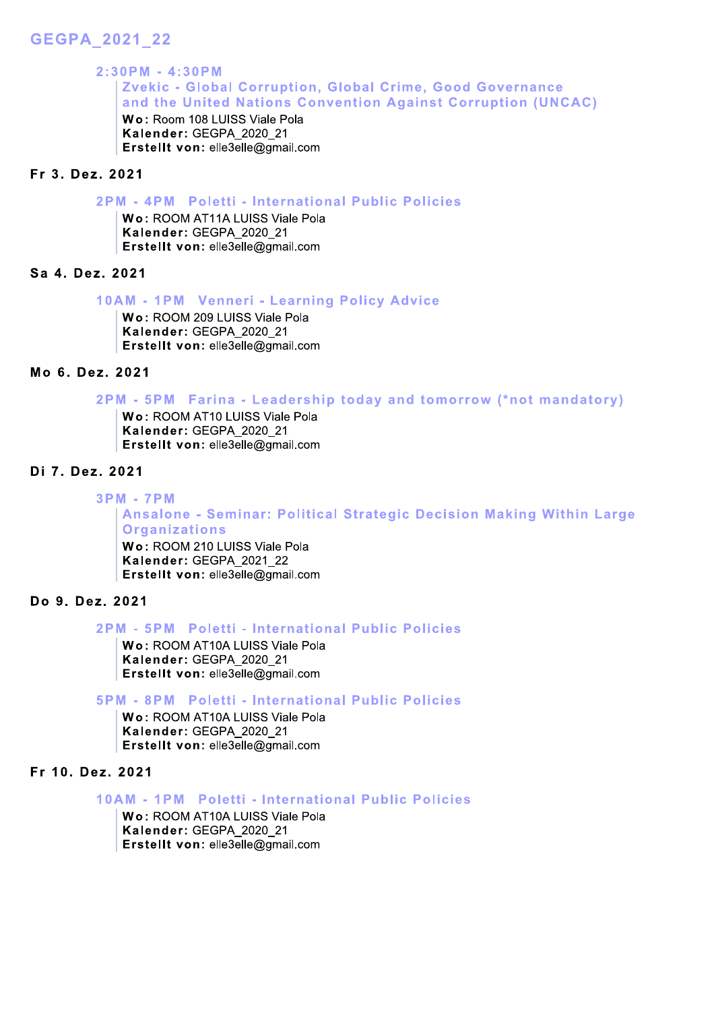# GEGPA 2021 22

# $2:30PM - 4:30PM$ GEGPA\_2021\_22<br>
2:30PM - 4:30PM<br>
Zvekic - Global Corruption, Global Crime, Good Governance<br>
and the United Nations Convention Against Corruption (UNCAC)<br>
Wo: Room 108 LUISS Viale Pola<br>
Erstellt von: elle3elle@gmail.com<br>
Fr

## M - 4PM Poletti - International Public Policies

Wo: ROOM AT11A LUISS Viale Pola Kalender: GEGPA 2020 21 Erstellt von: elle3elle@gmail.com

### Sa 4. Dez. 2021

# 10AM - 1PM Venneri - Learning Policy Advice

Wo: ROOM 209 LUISS Viale Pola Kalender: GEGPA 2020 21 Erstellt von: elle3elle@gmail.com

# $Mo$  6. Dez. 2021

2PM - 5PM

# **M-7PM**

From 19 Matter of Material Characteristic Material Character: GEGPA 2020\_21<br>
First ellit von: elle3elle@gmail.com<br>
Mo 6. Dez. 2021<br>
2PM - 5PM Farrina - Leadership today and tomorrow (\*not mandatory)<br>
Wo: ROOM AT10 LUISS Vi Ansalone - Seminar: Political Strategic Decision Making Within Large Organizations

> Wo: ROOM 210 LUISS Viale Pola Kalender: GEGPA 2021 22 Erstellt von: elle3elle@gmail.com

### Do 9. Dez. 2021

## 2PM - 5PM Poletti - International Public Policies

Wo: ROOM AT10A LUISS Viale Pola Kalender: GEGPA 2020 21 Erstellt von: elle3elle@gmail.com

# 5PM - 8PM Poletti - International Public Policies

Wo: ROOM AT10A LUISS Viale Pola Kalender: GEGPA 2020 21 Erstellt von: elle3elle@gmail.com

## Fr 10. Dez. 2021

10AM - 1PM Poletti - International Public Policies

Wo: ROOM AT10A LUISS Viale Pola Kalender: GEGPA 2020 21 Erstellt von: elle3elle@gmail.com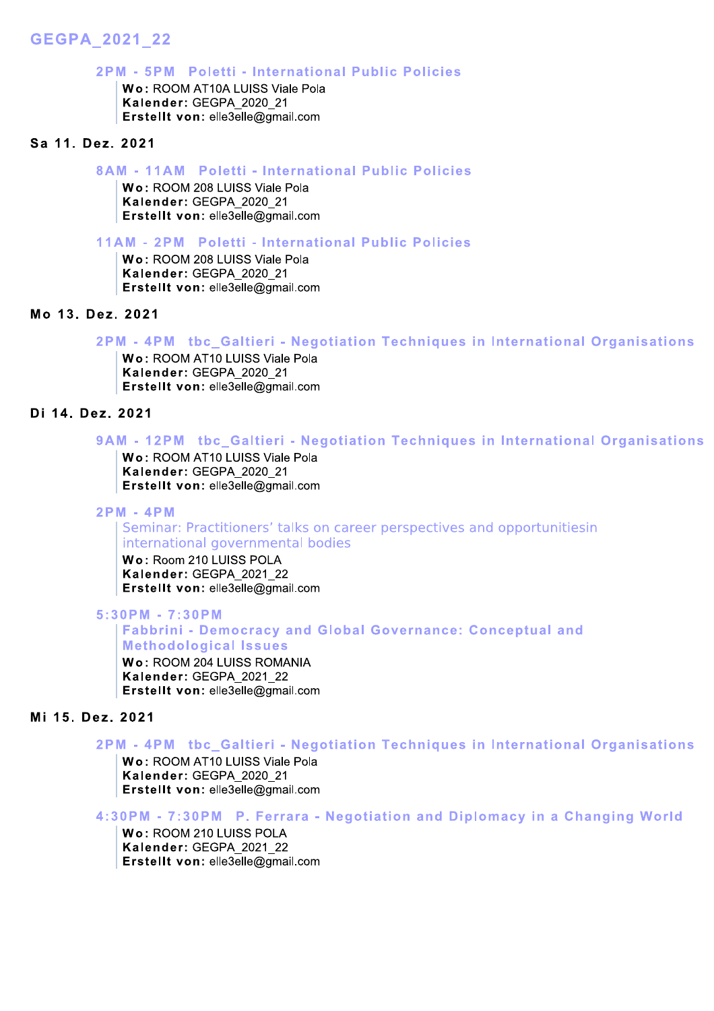# GEGPA\_2021\_22

# $2$ PM  $\,$  - 5PM  $\,$  Poletti - International Public Post  $\,$

GEGPA\_2021\_22<br>
2PM - 5PM Poletti - International Public Policies<br>
Wo: ROOM AT10A LUISS Viale Pola<br>
Kalender: GEGPA\_2020\_21<br>
Erstellt von: elle3elle@gmail.com<br>
Sa 11. Dez. 2021<br>
8AM - 11AM Poletti - International Public Pol 2 PM - 3PM Poletti - Mierhational Puk<br>
Wo: ROOM AT10A LUISS Viale Pola<br>
Kalender: GEGPA\_2020\_21<br>
Erstellt von: elle3elle@gmail.com<br>
P2. 2021<br>
8AM - 11AM Poletti - International Puk<br>
Kalender: GEGPA\_2020\_21<br>
Erstellt von: e

# 11AM POIETH - International Public Policies

34 TT. Dez. 2021<br>
8AM - 11AM Poletti - International Pl<br>
Wo: ROOM 208 LUISS Viale Pola<br>
Kalender: GEGPA\_2020\_21<br>
Erstellt von: elle3elle@gmail.com<br>
11AM - 2PM Poletti - International Pl<br>
Wo: ROOM 208 LUISS Viale Pola<br>
Kale

# 2PM POIETH - International Public Policies

# M - 4PM tbc\_Gaitieri - I Wo: ROOM 208 LUISS Viale Pola<br> **Extell tron:** elle3elle@gmail.com<br> **No 13. Dez. 2021**<br> **Extell tron:** elle3elle@gmail.com<br> **No 13. Dez. 2021**<br>
2PM - 4PM the Galtteri - Negotiation Techniques in International Organisations<br>

# 12PM tbc\_Galtieri - I

#### $M - 4H$  $\mathbf{M}$

2 PM - APM<br>
Wo: ROOM AT10 LUISS Viale Pola<br>
Kalender: GEGPA\_2020\_21<br>
Erstellt von: elle3elle@gmail.com<br>
22. 2021<br>
9AM - 12PM tbc\_Galtieri - Negotiation Techniques in International Organisations<br>
Wo: ROOM AT10 LUISS Viale P Seminar: Practitioners' talks on career perspectives and opportunitiesin international governmental bodies

Wo: Room 210 LUISS POLA Kalender: GEGPA 2021 22 Erstellt von: elle3elle@gmail.com

 $5:30$  PM -  $7:30$  PM

### Fabbrini - Democracy and Global Governance: Conceptual and<br>--**Methodological Issues**

Wo: ROOM 204 LUISS ROMANIA Kalender: GEGPA 2021 22 Erstellt von: elle3elle@gmail.com

# Mi 15. Dez. 2021

# 2PM - 4PM tbc\_Gaitleri - I Wo: ROOM 204 LUISS ROMANIA<br>
Yo: ROOM 204 LUISS ROMANIA<br>
Extellt von: elle3elle@gmail.com<br>
22. 2021<br>
2PM - 4PM tbc\_Galtieri - Negotiation Techniques in International Organisations<br>
Wo: ROOM AT10 LUISS Viale Pola<br>
Kalender:

 $M$  -  $\ell$  :30PM  $\,$  P. Ferrara - Negotiation and Diplomacy in a Changing World  $\,$ 

**Wo: ROOM 210 LUISS POLA** Kalender: GEGPA 2021 22 Erstellt von: elle3elle@gmail.com